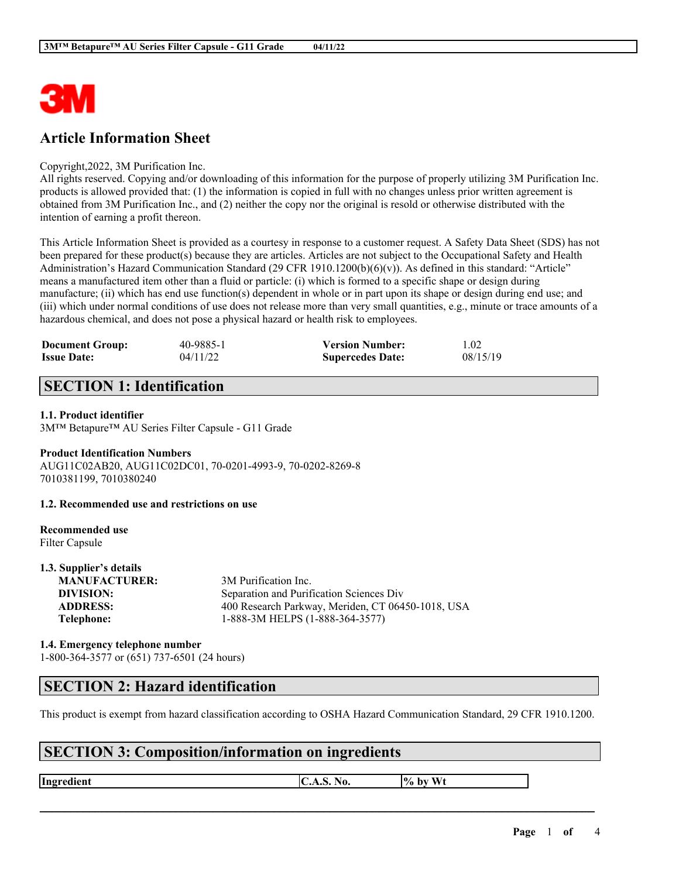

# **Article Information Sheet**

#### Copyright,2022, 3M Purification Inc.

All rights reserved. Copying and/or downloading of this information for the purpose of properly utilizing 3M Purification Inc. products is allowed provided that: (1) the information is copied in full with no changes unless prior written agreement is obtained from 3M Purification Inc., and (2) neither the copy nor the original is resold or otherwise distributed with the intention of earning a profit thereon.

This Article Information Sheet is provided as a courtesy in response to a customer request. A Safety Data Sheet (SDS) has not been prepared for these product(s) because they are articles. Articles are not subject to the Occupational Safety and Health Administration's Hazard Communication Standard (29 CFR 1910.1200(b)(6)(v)). As defined in this standard: "Article" means a manufactured item other than a fluid or particle: (i) which is formed to a specific shape or design during manufacture; (ii) which has end use function(s) dependent in whole or in part upon its shape or design during end use; and (iii) which under normal conditions of use does not release more than very small quantities, e.g., minute or trace amounts of a hazardous chemical, and does not pose a physical hazard or health risk to employees.

| <b>Document Group:</b> | 40-9885-1 | <b>Version Number:</b>  | 1.02     |
|------------------------|-----------|-------------------------|----------|
| <b>Issue Date:</b>     | 04/11/22  | <b>Supercedes Date:</b> | 08/15/19 |

# **SECTION 1: Identification**

### **1.1. Product identifier**

3M™ Betapure™ AU Series Filter Capsule - G11 Grade

### **Product Identification Numbers**

AUG11C02AB20, AUG11C02DC01, 70-0201-4993-9, 70-0202-8269-8 7010381199, 7010380240

**1.2. Recommended use and restrictions on use**

#### **Recommended use** Filter Capsule

| 1.3. Supplier's details |                                                   |
|-------------------------|---------------------------------------------------|
| <b>MANUFACTURER:</b>    | 3M Purification Inc.                              |
| DIVISION:               | Separation and Purification Sciences Div          |
| <b>ADDRESS:</b>         | 400 Research Parkway, Meriden, CT 06450-1018, USA |
| Telephone:              | 1-888-3M HELPS (1-888-364-3577)                   |
|                         |                                                   |

### **1.4. Emergency telephone number** 1-800-364-3577 or (651) 737-6501 (24 hours)

### **SECTION 2: Hazard identification**

This product is exempt from hazard classification according to OSHA Hazard Communication Standard, 29 CFR 1910.1200.

 $\mathcal{L}_\mathcal{L} = \mathcal{L}_\mathcal{L} = \mathcal{L}_\mathcal{L} = \mathcal{L}_\mathcal{L} = \mathcal{L}_\mathcal{L} = \mathcal{L}_\mathcal{L} = \mathcal{L}_\mathcal{L} = \mathcal{L}_\mathcal{L} = \mathcal{L}_\mathcal{L} = \mathcal{L}_\mathcal{L} = \mathcal{L}_\mathcal{L} = \mathcal{L}_\mathcal{L} = \mathcal{L}_\mathcal{L} = \mathcal{L}_\mathcal{L} = \mathcal{L}_\mathcal{L} = \mathcal{L}_\mathcal{L} = \mathcal{L}_\mathcal{L}$ 

# **SECTION 3: Composition/information on ingredients**

**Ingredient C.A.S.** No.  $\begin{bmatrix} \phi & \phi \end{bmatrix}$  by Wt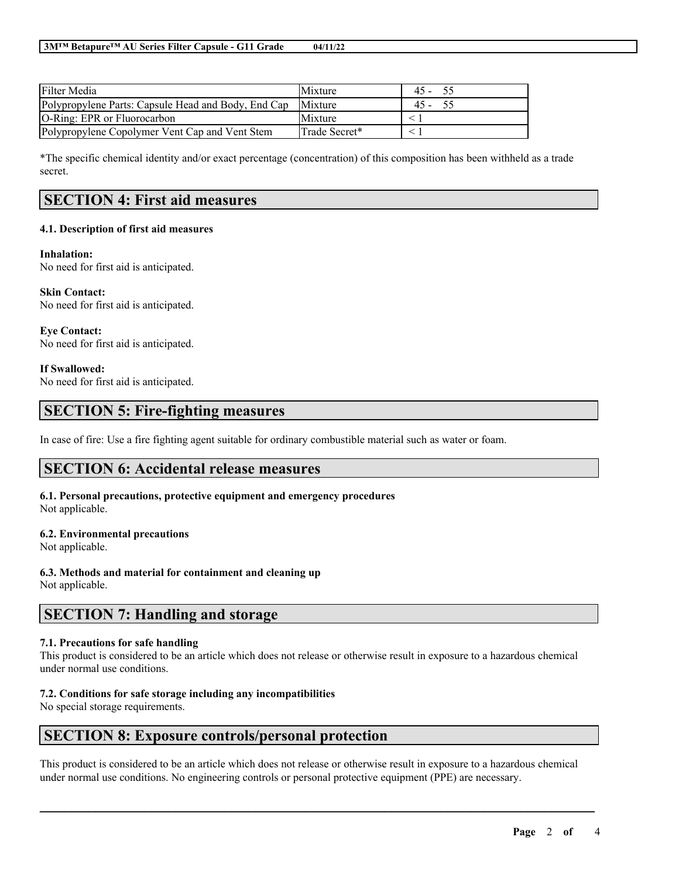| <b>Filter Media</b>                                 | Mixture        | 45 -   |
|-----------------------------------------------------|----------------|--------|
| Polypropylene Parts: Capsule Head and Body, End Cap | Mixture        | $45 -$ |
| <b>O-Ring: EPR or Fluorocarbon</b>                  | <b>Mixture</b> |        |
| Polypropylene Copolymer Vent Cap and Vent Stem      | Trade Secret*  |        |

\*The specific chemical identity and/or exact percentage (concentration) of this composition has been withheld as a trade secret.

# **SECTION 4: First aid measures**

### **4.1. Description of first aid measures**

#### **Inhalation:**

No need for first aid is anticipated.

**Skin Contact:** No need for first aid is anticipated.

**Eye Contact:** No need for first aid is anticipated.

#### **If Swallowed:**

No need for first aid is anticipated.

## **SECTION 5: Fire-fighting measures**

In case of fire: Use a fire fighting agent suitable for ordinary combustible material such as water or foam.

### **SECTION 6: Accidental release measures**

**6.1. Personal precautions, protective equipment and emergency procedures** Not applicable.

#### **6.2. Environmental precautions**

Not applicable.

**6.3. Methods and material for containment and cleaning up** Not applicable.

## **SECTION 7: Handling and storage**

### **7.1. Precautions for safe handling**

This product is considered to be an article which does not release or otherwise result in exposure to a hazardous chemical under normal use conditions.

### **7.2. Conditions for safe storage including any incompatibilities**

No special storage requirements.

### **SECTION 8: Exposure controls/personal protection**

This product is considered to be an article which does not release or otherwise result in exposure to a hazardous chemical under normal use conditions. No engineering controls or personal protective equipment (PPE) are necessary.

 $\mathcal{L}_\mathcal{L} = \mathcal{L}_\mathcal{L} = \mathcal{L}_\mathcal{L} = \mathcal{L}_\mathcal{L} = \mathcal{L}_\mathcal{L} = \mathcal{L}_\mathcal{L} = \mathcal{L}_\mathcal{L} = \mathcal{L}_\mathcal{L} = \mathcal{L}_\mathcal{L} = \mathcal{L}_\mathcal{L} = \mathcal{L}_\mathcal{L} = \mathcal{L}_\mathcal{L} = \mathcal{L}_\mathcal{L} = \mathcal{L}_\mathcal{L} = \mathcal{L}_\mathcal{L} = \mathcal{L}_\mathcal{L} = \mathcal{L}_\mathcal{L}$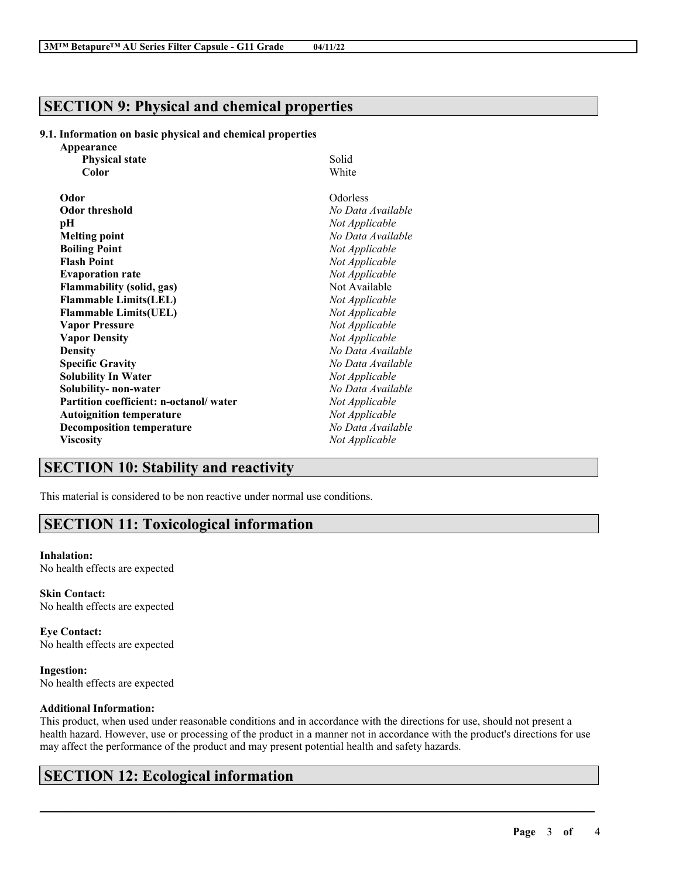## **SECTION 9: Physical and chemical properties**

### **9.1. Information on basic physical and chemical properties**

| Appearance                             |                   |
|----------------------------------------|-------------------|
| <b>Physical state</b>                  | Solid             |
| Color                                  | White             |
| Odor                                   | Odorless          |
| <b>Odor threshold</b>                  | No Data Available |
| рH                                     | Not Applicable    |
| <b>Melting point</b>                   | No Data Available |
| <b>Boiling Point</b>                   | Not Applicable    |
| <b>Flash Point</b>                     | Not Applicable    |
| <b>Evaporation rate</b>                | Not Applicable    |
| <b>Flammability (solid, gas)</b>       | Not Available     |
| <b>Flammable Limits(LEL)</b>           | Not Applicable    |
| <b>Flammable Limits(UEL)</b>           | Not Applicable    |
| <b>Vapor Pressure</b>                  | Not Applicable    |
| <b>Vapor Density</b>                   | Not Applicable    |
| <b>Density</b>                         | No Data Available |
| <b>Specific Gravity</b>                | No Data Available |
| <b>Solubility In Water</b>             | Not Applicable    |
| Solubility- non-water                  | No Data Available |
| Partition coefficient: n-octanol/water | Not Applicable    |
| <b>Autoignition temperature</b>        | Not Applicable    |
| <b>Decomposition temperature</b>       | No Data Available |
| <b>Viscosity</b>                       | Not Applicable    |

## **SECTION 10: Stability and reactivity**

This material is considered to be non reactive under normal use conditions.

# **SECTION 11: Toxicological information**

#### **Inhalation:**

No health effects are expected

**Skin Contact:** No health effects are expected

**Eye Contact:** No health effects are expected

**Ingestion:** No health effects are expected

### **Additional Information:**

This product, when used under reasonable conditions and in accordance with the directions for use, should not present a health hazard. However, use or processing of the product in a manner not in accordance with the product's directions for use may affect the performance of the product and may present potential health and safety hazards.

 $\mathcal{L}_\mathcal{L} = \mathcal{L}_\mathcal{L} = \mathcal{L}_\mathcal{L} = \mathcal{L}_\mathcal{L} = \mathcal{L}_\mathcal{L} = \mathcal{L}_\mathcal{L} = \mathcal{L}_\mathcal{L} = \mathcal{L}_\mathcal{L} = \mathcal{L}_\mathcal{L} = \mathcal{L}_\mathcal{L} = \mathcal{L}_\mathcal{L} = \mathcal{L}_\mathcal{L} = \mathcal{L}_\mathcal{L} = \mathcal{L}_\mathcal{L} = \mathcal{L}_\mathcal{L} = \mathcal{L}_\mathcal{L} = \mathcal{L}_\mathcal{L}$ 

# **SECTION 12: Ecological information**